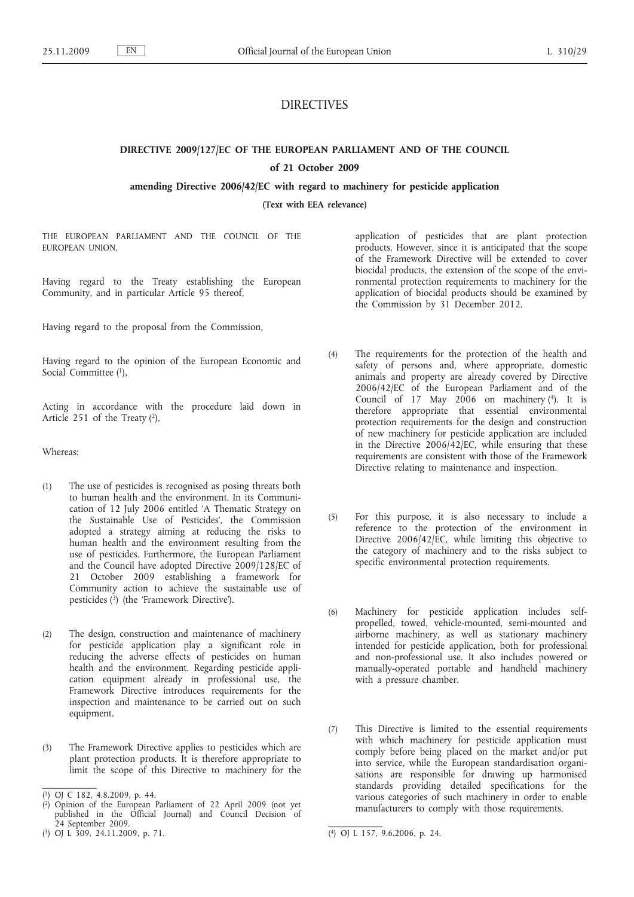## DIRECTIVES

# **DIRECTIVE 2009/127/EC OF THE EUROPEAN PARLIAMENT AND OF THE COUNCIL**

## **of 21 October 2009**

**amending Directive 2006/42/EC with regard to machinery for pesticide application**

**(Text with EEA relevance)**

THE EUROPEAN PARLIAMENT AND THE COUNCIL OF THE EUROPEAN UNION,

Having regard to the Treaty establishing the European Community, and in particular Article 95 thereof,

Having regard to the proposal from the Commission,

Having regard to the opinion of the European Economic and Social Committee (1).

Acting in accordance with the procedure laid down in Article 251 of the Treaty  $(2)$ ,

Whereas:

- (1) The use of pesticides is recognised as posing threats both to human health and the environment. In its Communication of 12 July 2006 entitled 'A Thematic Strategy on the Sustainable Use of Pesticides', the Commission adopted a strategy aiming at reducing the risks to human health and the environment resulting from the use of pesticides. Furthermore, the European Parliament and the Council have adopted Directive 2009/128/EC of 21 October 2009 establishing a framework for Community action to achieve the sustainable use of pesticides (3) (the 'Framework Directive').
- (2) The design, construction and maintenance of machinery for pesticide application play a significant role in reducing the adverse effects of pesticides on human health and the environment. Regarding pesticide application equipment already in professional use, the Framework Directive introduces requirements for the inspection and maintenance to be carried out on such equipment.
- (3) The Framework Directive applies to pesticides which are plant protection products. It is therefore appropriate to limit the scope of this Directive to machinery for the

application of pesticides that are plant protection products. However, since it is anticipated that the scope of the Framework Directive will be extended to cover biocidal products, the extension of the scope of the environmental protection requirements to machinery for the application of biocidal products should be examined by the Commission by 31 December 2012.

- (4) The requirements for the protection of the health and safety of persons and, where appropriate, domestic animals and property are already covered by Directive 2006/42/EC of the European Parliament and of the Council of  $17$  May  $2006$  on machinery (4). It is therefore appropriate that essential environmental protection requirements for the design and construction of new machinery for pesticide application are included in the Directive 2006/42/EC, while ensuring that these requirements are consistent with those of the Framework Directive relating to maintenance and inspection.
- (5) For this purpose, it is also necessary to include a reference to the protection of the environment in Directive  $2006/42/\text{EC}$ , while limiting this objective to the category of machinery and to the risks subject to specific environmental protection requirements.
- (6) Machinery for pesticide application includes selfpropelled, towed, vehicle-mounted, semi-mounted and airborne machinery, as well as stationary machinery intended for pesticide application, both for professional and non-professional use. It also includes powered or manually-operated portable and handheld machinery with a pressure chamber.
- (7) This Directive is limited to the essential requirements with which machinery for pesticide application must comply before being placed on the market and/or put into service, while the European standardisation organisations are responsible for drawing up harmonised standards providing detailed specifications for the various categories of such machinery in order to enable manufacturers to comply with those requirements.

<sup>(</sup> 1) OJ C 182, 4.8.2009, p. 44.

<sup>(</sup> 2) Opinion of the European Parliament of 22 April 2009 (not yet published in the Official Journal) and Council Decision of 24 September 2009.

<sup>(</sup> 3) OJ L 309, 24.11.2009, p. 71. (4) OJ L 157, 9.6.2006, p. 24.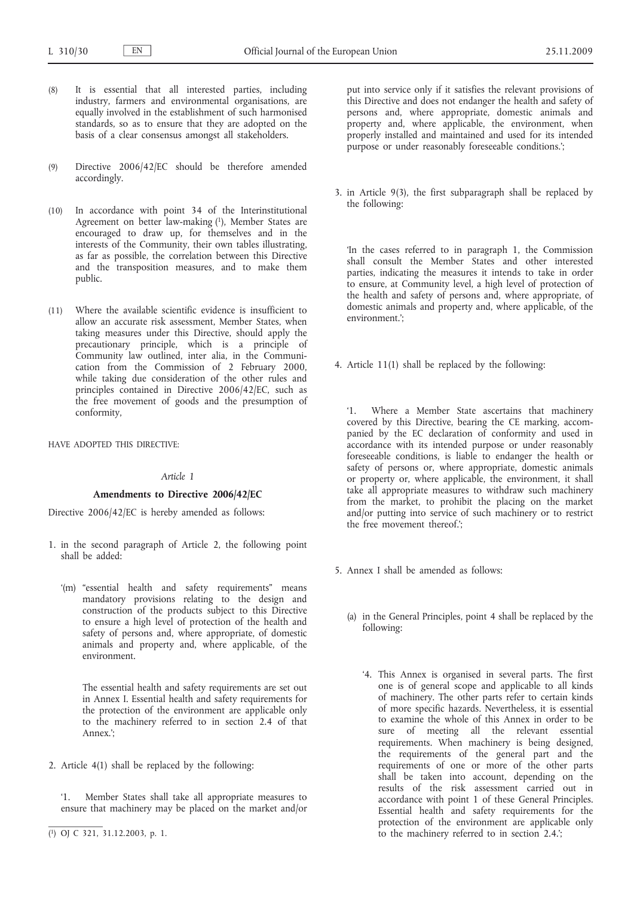- (8) It is essential that all interested parties, including industry, farmers and environmental organisations, are equally involved in the establishment of such harmonised standards, so as to ensure that they are adopted on the basis of a clear consensus amongst all stakeholders.
- (9) Directive 2006/42/EC should be therefore amended accordingly.
- (10) In accordance with point 34 of the Interinstitutional Agreement on better law-making (1), Member States are encouraged to draw up, for themselves and in the interests of the Community, their own tables illustrating, as far as possible, the correlation between this Directive and the transposition measures, and to make them public.
- (11) Where the available scientific evidence is insufficient to allow an accurate risk assessment, Member States, when taking measures under this Directive, should apply the precautionary principle, which is a principle of Community law outlined, inter alia, in the Communication from the Commission of 2 February 2000, while taking due consideration of the other rules and principles contained in Directive 2006/42/EC, such as the free movement of goods and the presumption of conformity,

HAVE ADOPTED THIS DIRECTIVE:

## *Article 1*

## **Amendments to Directive 2006/42/EC**

Directive 2006/42/EC is hereby amended as follows:

- 1. in the second paragraph of Article 2, the following point shall be added:
	- '(m) "essential health and safety requirements" means mandatory provisions relating to the design and construction of the products subject to this Directive to ensure a high level of protection of the health and safety of persons and, where appropriate, of domestic animals and property and, where applicable, of the environment.

The essential health and safety requirements are set out in Annex I. Essential health and safety requirements for the protection of the environment are applicable only to the machinery referred to in section 2.4 of that Annex.';

2. Article 4(1) shall be replaced by the following:

'1. Member States shall take all appropriate measures to ensure that machinery may be placed on the market and/or put into service only if it satisfies the relevant provisions of this Directive and does not endanger the health and safety of persons and, where appropriate, domestic animals and property and, where applicable, the environment, when properly installed and maintained and used for its intended purpose or under reasonably foreseeable conditions.';

3. in Article 9(3), the first subparagraph shall be replaced by the following:

'In the cases referred to in paragraph 1, the Commission shall consult the Member States and other interested parties, indicating the measures it intends to take in order to ensure, at Community level, a high level of protection of the health and safety of persons and, where appropriate, of domestic animals and property and, where applicable, of the environment.';

4. Article 11(1) shall be replaced by the following:

'1. Where a Member State ascertains that machinery covered by this Directive, bearing the CE marking, accompanied by the EC declaration of conformity and used in accordance with its intended purpose or under reasonably foreseeable conditions, is liable to endanger the health or safety of persons or, where appropriate, domestic animals or property or, where applicable, the environment, it shall take all appropriate measures to withdraw such machinery from the market, to prohibit the placing on the market and/or putting into service of such machinery or to restrict the free movement thereof.';

- 5. Annex I shall be amended as follows:
	- (a) in the General Principles, point 4 shall be replaced by the following:
		- '4. This Annex is organised in several parts. The first one is of general scope and applicable to all kinds of machinery. The other parts refer to certain kinds of more specific hazards. Nevertheless, it is essential to examine the whole of this Annex in order to be sure of meeting all the relevant essential requirements. When machinery is being designed, the requirements of the general part and the requirements of one or more of the other parts shall be taken into account, depending on the results of the risk assessment carried out in accordance with point 1 of these General Principles. Essential health and safety requirements for the protection of the environment are applicable only to the machinery referred to in section 2.4.';

<sup>(</sup> 1) OJ C 321, 31.12.2003, p. 1.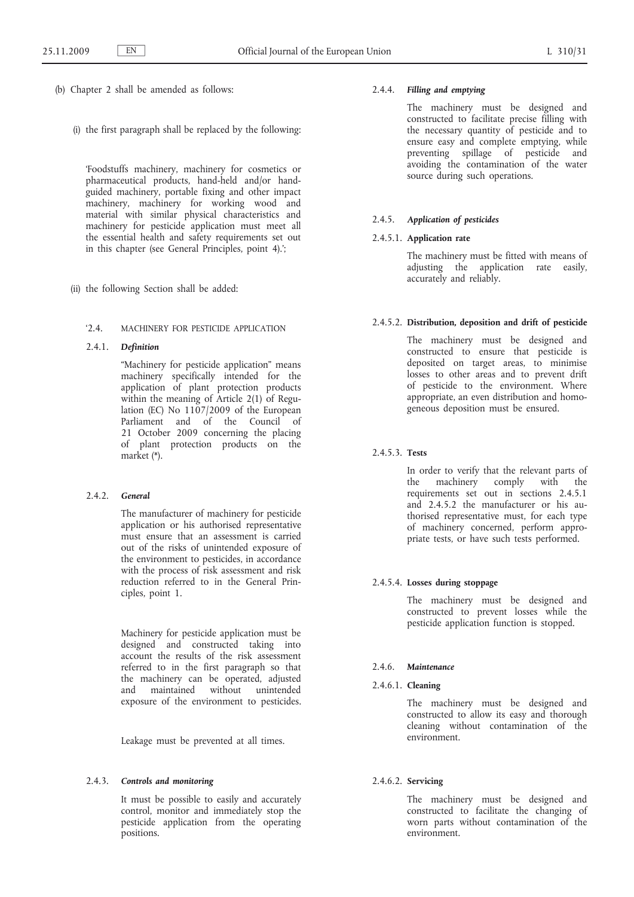- (b) Chapter 2 shall be amended as follows:
	- (i) the first paragraph shall be replaced by the following:

'Foodstuffs machinery, machinery for cosmetics or pharmaceutical products, hand-held and/or handguided machinery, portable fixing and other impact machinery, machinery for working wood and material with similar physical characteristics and machinery for pesticide application must meet all the essential health and safety requirements set out in this chapter (see General Principles, point 4).';

(ii) the following Section shall be added:

## '2.4. MACHINERY FOR PESTICIDE APPLICATION

## 2.4.1. *Definition*

"Machinery for pesticide application" means machinery specifically intended for the application of plant protection products within the meaning of Article 2(1) of Regulation (EC) No 1107/2009 of the European Parliament and of the Council of 21 October 2009 concerning the placing of plant protection products on the market (\*).

## 2.4.2. *General*

The manufacturer of machinery for pesticide application or his authorised representative must ensure that an assessment is carried out of the risks of unintended exposure of the environment to pesticides, in accordance with the process of risk assessment and risk reduction referred to in the General Principles, point 1.

Machinery for pesticide application must be designed and constructed taking into account the results of the risk assessment referred to in the first paragraph so that the machinery can be operated, adjusted and maintained without unintended exposure of the environment to pesticides.

Leakage must be prevented at all times.

## 2.4.3. *Controls and monitoring*

It must be possible to easily and accurately control, monitor and immediately stop the pesticide application from the operating positions.

## 2.4.4. *Filling and emptying*

The machinery must be designed and constructed to facilitate precise filling with the necessary quantity of pesticide and to ensure easy and complete emptying, while preventing spillage of pesticide and avoiding the contamination of the water source during such operations.

## 2.4.5. *Application of pesticides*

## 2.4.5.1. **Application rate**

The machinery must be fitted with means of adjusting the application rate easily, accurately and reliably.

#### 2.4.5.2. **Distribution, deposition and drift of pesticide**

The machinery must be designed and constructed to ensure that pesticide is deposited on target areas, to minimise losses to other areas and to prevent drift of pesticide to the environment. Where appropriate, an even distribution and homogeneous deposition must be ensured.

## 2.4.5.3. **Tests**

In order to verify that the relevant parts of the machinery comply with the requirements set out in sections 2.4.5.1 and 2.4.5.2 the manufacturer or his authorised representative must, for each type of machinery concerned, perform appropriate tests, or have such tests performed.

#### 2.4.5.4. **Losses during stoppage**

The machinery must be designed and constructed to prevent losses while the pesticide application function is stopped.

#### 2.4.6. *Maintenance*

2.4.6.1. **Cleaning**

The machinery must be designed and constructed to allow its easy and thorough cleaning without contamination of the environment.

## 2.4.6.2. **Servicing**

The machinery must be designed and constructed to facilitate the changing of worn parts without contamination of the environment.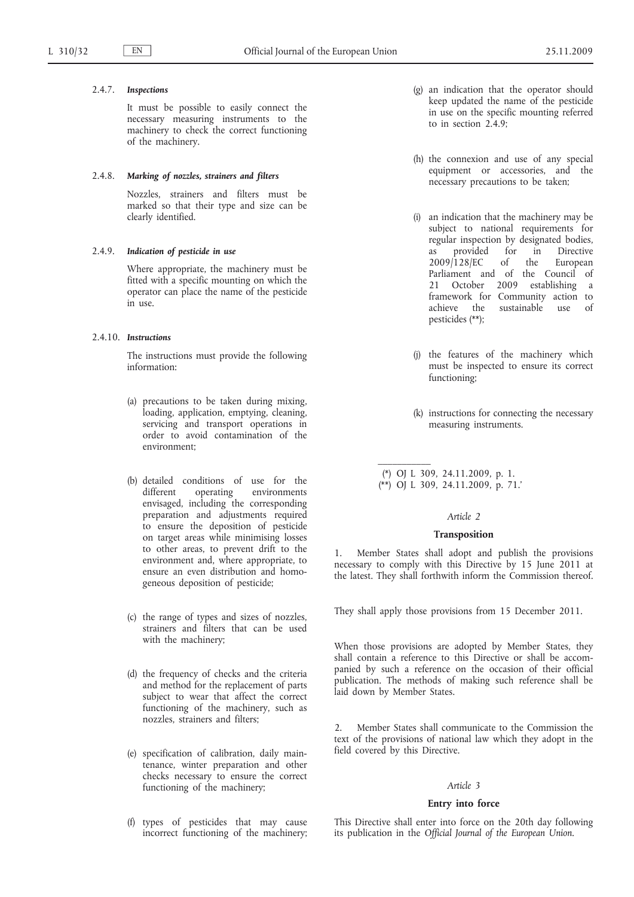## 2.4.7. *Inspections*

It must be possible to easily connect the necessary measuring instruments to the machinery to check the correct functioning of the machinery.

#### 2.4.8. *Marking of nozzles, strainers and filters*

Nozzles, strainers and filters must be marked so that their type and size can be clearly identified.

### 2.4.9. *Indication of pesticide in use*

Where appropriate, the machinery must be fitted with a specific mounting on which the operator can place the name of the pesticide in use.

#### 2.4.10. *Instructions*

The instructions must provide the following information:

- (a) precautions to be taken during mixing, loading, application, emptying, cleaning, servicing and transport operations in order to avoid contamination of the environment;
- (b) detailed conditions of use for the different operating environments envisaged, including the corresponding preparation and adjustments required to ensure the deposition of pesticide on target areas while minimising losses to other areas, to prevent drift to the environment and, where appropriate, to ensure an even distribution and homogeneous deposition of pesticide;
- (c) the range of types and sizes of nozzles, strainers and filters that can be used with the machinery;
- (d) the frequency of checks and the criteria and method for the replacement of parts subject to wear that affect the correct functioning of the machinery, such as nozzles, strainers and filters;
- (e) specification of calibration, daily maintenance, winter preparation and other checks necessary to ensure the correct functioning of the machinery;
- (f) types of pesticides that may cause incorrect functioning of the machinery;
- (g) an indication that the operator should keep updated the name of the pesticide in use on the specific mounting referred to in section 2.4.9;
- (h) the connexion and use of any special equipment or accessories, and the necessary precautions to be taken;
- (i) an indication that the machinery may be subject to national requirements for regular inspection by designated bodies, as provided for in Directive 2009/128/EC of the European Parliament and of the Council of 21 October 2009 establishing a framework for Community action to achieve the sustainable use of pesticides (\*\*);
- (j) the features of the machinery which must be inspected to ensure its correct functioning;
- (k) instructions for connecting the necessary measuring instruments.
- (\*) OJ L 309, 24.11.2009, p. 1. (\*\*) OJ L 309, 24.11.2009, p. 71.'

 $\mathcal{L}=\mathcal{L}$ 

#### *Article 2*

#### **Transposition**

Member States shall adopt and publish the provisions necessary to comply with this Directive by 15 June 2011 at the latest. They shall forthwith inform the Commission thereof.

They shall apply those provisions from 15 December 2011.

When those provisions are adopted by Member States, they shall contain a reference to this Directive or shall be accompanied by such a reference on the occasion of their official publication. The methods of making such reference shall be laid down by Member States.

2. Member States shall communicate to the Commission the text of the provisions of national law which they adopt in the field covered by this Directive.

## *Article 3*

## **Entry into force**

This Directive shall enter into force on the 20th day following its publication in the *Official Journal of the European Union*.